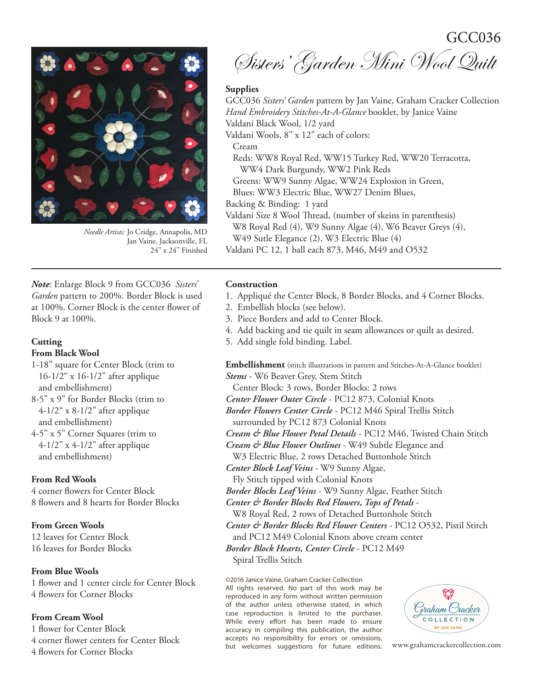GCC036



*Needle Artists:* Jo Cridge, Annapolis, MD Jan Vaine, Jacksonville, FL 24" x 24" Finished

*Note*: Enlarge Block 9 from GCC036 *Sisters' Garden* pattern to 200%. Border Block is used at 100%. Corner Block is the center flower of Block 9 at 100%.

### **Cutting**

# **From Black Wool**

- 1-18" square for Center Block (trim to 16-1/2" x 16-1/2" after applique and embellishment)
- 8-5" x 9" for Border Blocks (trim to  $4-1/2$ " x 8-1/2" after applique and embellishment)
- 4-5" x 5" Corner Squares (trim to  $4-1/2$ " x  $4-1/2$ " after applique and embellishment)

# **From Red Wools**

4 corner flowers for Center Block 8 flowers and 8 hearts for Border Blocks

### **From Green Wools**

12 leaves for Center Block 16 leaves for Border Blocks

## **From Blue Wools**

1 flower and 1 center circle for Center Block 4 flowers for Corner Blocks

# **From Cream Wool**

1 flower for Center Block 4 corner flower centers for Center Block 4 flowers for Corner Blocks

Sisters' Garden Mini Wool Quilt

#### **Supplies**

GCC036 *Sisters' Garden* pattern by Jan Vaine, Graham Cracker Collection *Hand Embroidery Stitches-At-A-Glance* booklet, by Janice Vaine Valdani Black Wool, 1/2 yard Valdani Wools, 8" x 12" each of colors: Cream Reds: WW8 Royal Red, WW15 Turkey Red, WW20 Terracotta, WW4 Dark Burgundy, WW2 Pink Reds Greens: WW9 Sunny Algae, WW24 Explosion in Green, Blues: WW3 Electric Blue, WW27 Denim Blues, Backing & Binding: 1 yard Valdani Size 8 Wool Thread, (number of skeins in parenthesis) W8 Royal Red (4), W9 Sunny Algae (4), W6 Beaver Greys (4), W49 Sutle Elegance (2), W3 Electric Blue (4) Valdani PC 12, 1 ball each 873, M46, M49 and O532

## **Construction**

- 1. Appliqué the Center Block, 8 Border Blocks, and 4 Corner Blocks.
- 2. Embellish blocks (see below).
- 3. Piece Borders and add to Center Block.
- 4. Add backing and tie quilt in seam allowances or quilt as desired.
- 5. Add single fold binding. Label.

**Embellishment** (stitch illustrations in pattern and Stitches-At-A-Glance booklet) *Stems* - W6 Beaver Grey, Stem Stitch

Center Block: 3 rows, Border Blocks: 2 rows

*Center Flower Outer Circle* - PC12 873, Colonial Knots

*Border Flowers Center Circle* - PC12 M46 Spiral Trellis Stitch

surrounded by PC12 873 Colonial Knots

*Cream & Blue Flower Petal Details* - PC12 M46, Twisted Chain Stitch

- *Cream & Blue Flower Outlines* W49 Subtle Elegance and W3 Electric Blue, 2 rows Detached Buttonhole Stitch
- *Center Block Leaf Veins* W9 Sunny Algae,

Fly Stitch tipped with Colonial Knots

*Border Blocks Leaf Veins* - W9 Sunny Algae, Feather Stitch

*Center & Border Blocks Red Flowers, Tops of Petals* -

W8 Royal Red, 2 rows of Detached Buttonhole Stitch

*Center & Border Blocks Red Flower Centers* - PC12 O532, Pistil Stitch

and PC12 M49 Colonial Knots above cream center

*Border Block Hearts, Center Circle* - PC12 M49 Spiral Trellis Stitch

©2016 Janice Vaine, Graham Cracker Collection

All rights reserved. No part of this work may be reproduced in any form without written permission of the author unless otherwise stated, in which case reproduction is limited to the purchaser. While every effort has been made to ensure accuracy in compiling this publication, the author accepts no responsibility for errors or omissions, but welcomes suggestions for future editions. www.grahamcrackercollection.com

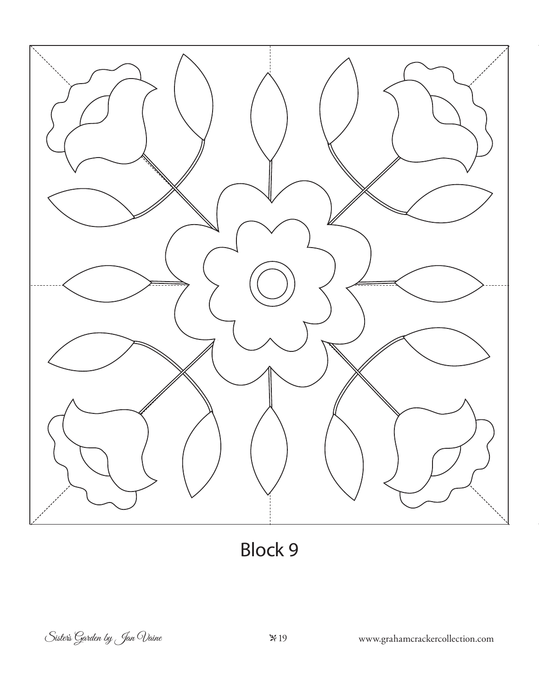

Block 9